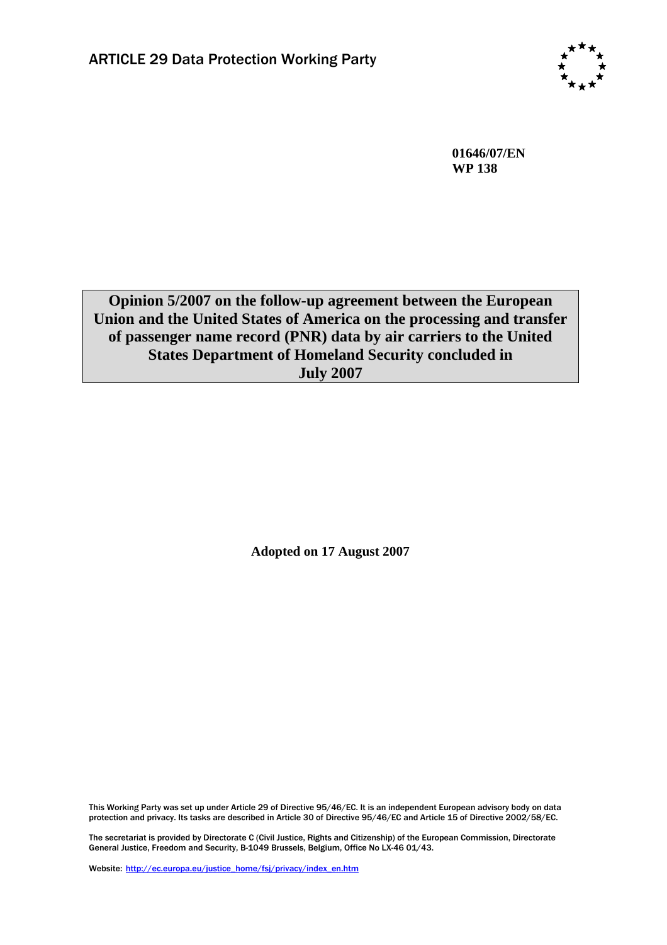

**01646/07/EN WP 138**

**Opinion 5/2007 on the follow-up agreement between the European Union and the United States of America on the processing and transfer of passenger name record (PNR) data by air carriers to the United States Department of Homeland Security concluded in July 2007** 

**Adopted on 17 August 2007** 

This Working Party was set up under Article 29 of Directive 95/46/EC. It is an independent European advisory body on data protection and privacy. Its tasks are described in Article 30 of Directive 95/46/EC and Article 15 of Directive 2002/58/EC.

The secretariat is provided by Directorate C (Civil Justice, Rights and Citizenship) of the European Commission, Directorate General Justice, Freedom and Security, B-1049 Brussels, Belgium, Office No LX-46 01/43.

Website: http://ec.europa.eu/justice\_home/fsj/privacy/index\_en.htm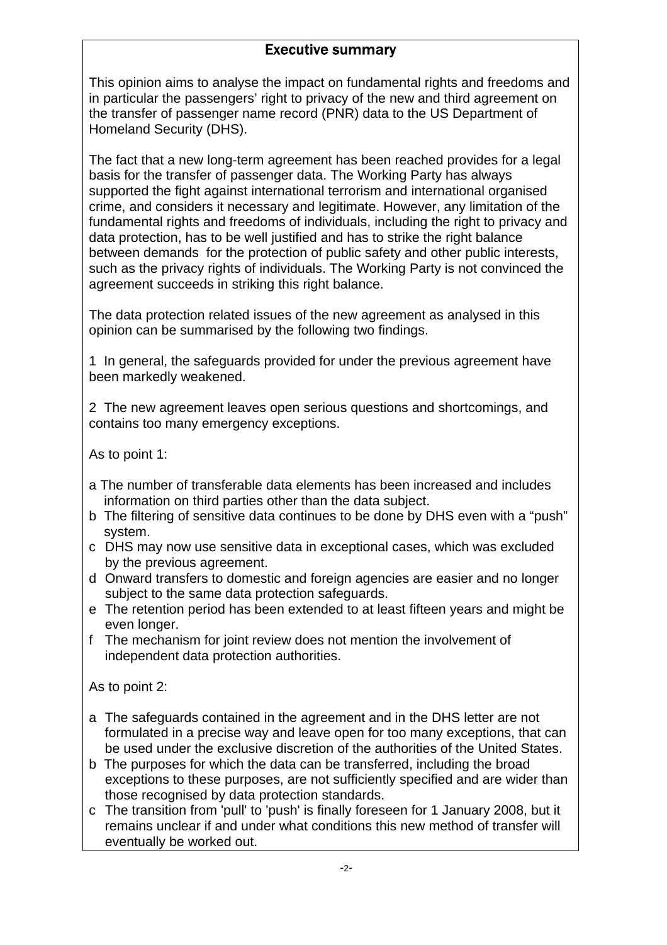# Executive summary

This opinion aims to analyse the impact on fundamental rights and freedoms and in particular the passengers' right to privacy of the new and third agreement on the transfer of passenger name record (PNR) data to the US Department of Homeland Security (DHS).

The fact that a new long-term agreement has been reached provides for a legal basis for the transfer of passenger data. The Working Party has always supported the fight against international terrorism and international organised crime, and considers it necessary and legitimate. However, any limitation of the fundamental rights and freedoms of individuals, including the right to privacy and data protection, has to be well justified and has to strike the right balance between demands for the protection of public safety and other public interests, such as the privacy rights of individuals. The Working Party is not convinced the agreement succeeds in striking this right balance.

The data protection related issues of the new agreement as analysed in this opinion can be summarised by the following two findings.

1 In general, the safeguards provided for under the previous agreement have been markedly weakened.

2 The new agreement leaves open serious questions and shortcomings, and contains too many emergency exceptions.

As to point 1:

- a The number of transferable data elements has been increased and includes information on third parties other than the data subject.
- b The filtering of sensitive data continues to be done by DHS even with a "push" system.
- c DHS may now use sensitive data in exceptional cases, which was excluded by the previous agreement.
- d Onward transfers to domestic and foreign agencies are easier and no longer subject to the same data protection safeguards.
- e The retention period has been extended to at least fifteen years and might be even longer.
- f The mechanism for joint review does not mention the involvement of independent data protection authorities.

As to point 2:

- a The safeguards contained in the agreement and in the DHS letter are not formulated in a precise way and leave open for too many exceptions, that can be used under the exclusive discretion of the authorities of the United States.
- b The purposes for which the data can be transferred, including the broad exceptions to these purposes, are not sufficiently specified and are wider than those recognised by data protection standards.
- c The transition from 'pull' to 'push' is finally foreseen for 1 January 2008, but it remains unclear if and under what conditions this new method of transfer will eventually be worked out.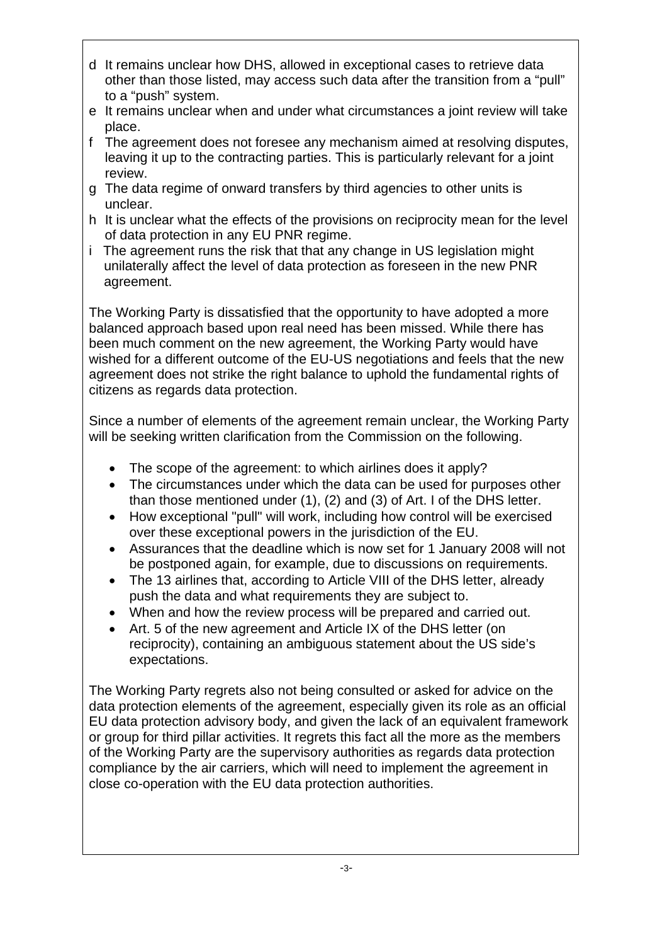- d It remains unclear how DHS, allowed in exceptional cases to retrieve data other than those listed, may access such data after the transition from a "pull" to a "push" system.
- e It remains unclear when and under what circumstances a joint review will take place.
- f The agreement does not foresee any mechanism aimed at resolving disputes, leaving it up to the contracting parties. This is particularly relevant for a joint review.
- g The data regime of onward transfers by third agencies to other units is unclear.
- h It is unclear what the effects of the provisions on reciprocity mean for the level of data protection in any EU PNR regime.
- i The agreement runs the risk that that any change in US legislation might unilaterally affect the level of data protection as foreseen in the new PNR agreement.

The Working Party is dissatisfied that the opportunity to have adopted a more balanced approach based upon real need has been missed. While there has been much comment on the new agreement, the Working Party would have wished for a different outcome of the EU-US negotiations and feels that the new agreement does not strike the right balance to uphold the fundamental rights of citizens as regards data protection.

Since a number of elements of the agreement remain unclear, the Working Party will be seeking written clarification from the Commission on the following.

- The scope of the agreement: to which airlines does it apply?
- The circumstances under which the data can be used for purposes other than those mentioned under (1), (2) and (3) of Art. I of the DHS letter.
- How exceptional "pull" will work, including how control will be exercised over these exceptional powers in the jurisdiction of the EU.
- Assurances that the deadline which is now set for 1 January 2008 will not be postponed again, for example, due to discussions on requirements.
- The 13 airlines that, according to Article VIII of the DHS letter, already push the data and what requirements they are subject to.
- When and how the review process will be prepared and carried out.
- Art. 5 of the new agreement and Article IX of the DHS letter (on reciprocity), containing an ambiguous statement about the US side's expectations.

The Working Party regrets also not being consulted or asked for advice on the data protection elements of the agreement, especially given its role as an official EU data protection advisory body, and given the lack of an equivalent framework or group for third pillar activities. It regrets this fact all the more as the members of the Working Party are the supervisory authorities as regards data protection compliance by the air carriers, which will need to implement the agreement in close co-operation with the EU data protection authorities.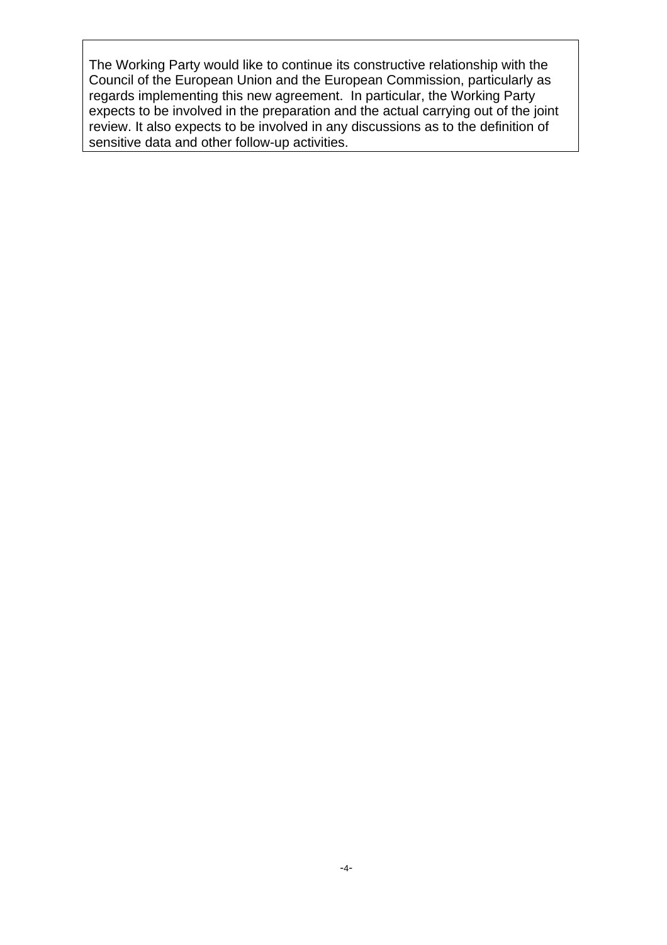The Working Party would like to continue its constructive relationship with the Council of the European Union and the European Commission, particularly as regards implementing this new agreement. In particular, the Working Party expects to be involved in the preparation and the actual carrying out of the joint review. It also expects to be involved in any discussions as to the definition of sensitive data and other follow-up activities.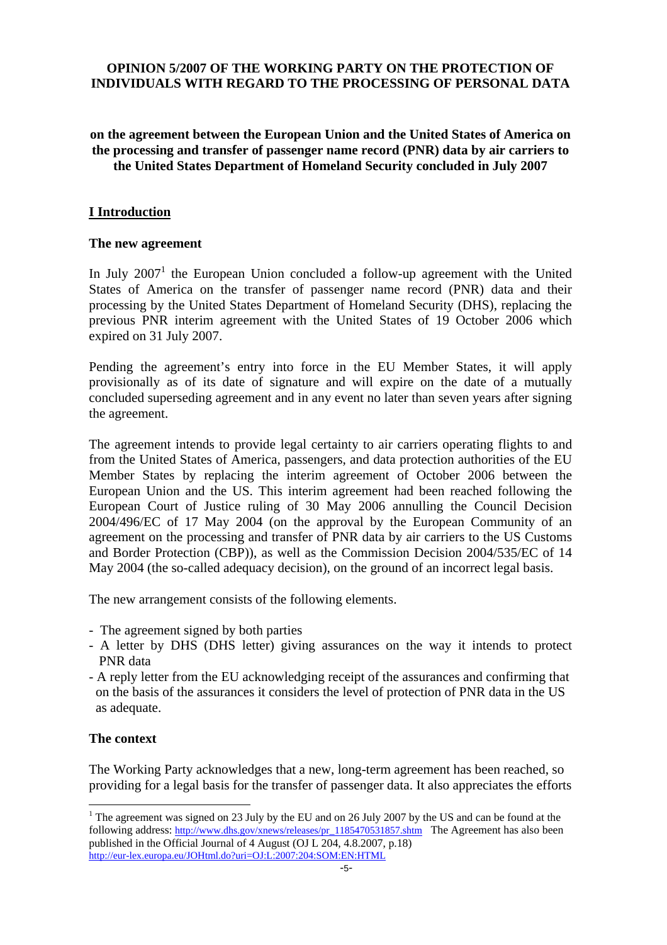# **OPINION 5/2007 OF THE WORKING PARTY ON THE PROTECTION OF INDIVIDUALS WITH REGARD TO THE PROCESSING OF PERSONAL DATA**

## **on the agreement between the European Union and the United States of America on the processing and transfer of passenger name record (PNR) data by air carriers to the United States Department of Homeland Security concluded in July 2007**

## **I Introduction**

#### **The new agreement**

In July  $2007<sup>1</sup>$  the European Union concluded a follow-up agreement with the United States of America on the transfer of passenger name record (PNR) data and their processing by the United States Department of Homeland Security (DHS), replacing the previous PNR interim agreement with the United States of 19 October 2006 which expired on 31 July 2007.

Pending the agreement's entry into force in the EU Member States, it will apply provisionally as of its date of signature and will expire on the date of a mutually concluded superseding agreement and in any event no later than seven years after signing the agreement.

The agreement intends to provide legal certainty to air carriers operating flights to and from the United States of America, passengers, and data protection authorities of the EU Member States by replacing the interim agreement of October 2006 between the European Union and the US. This interim agreement had been reached following the European Court of Justice ruling of 30 May 2006 annulling the Council Decision 2004/496/EC of 17 May 2004 (on the approval by the European Community of an agreement on the processing and transfer of PNR data by air carriers to the US Customs and Border Protection (CBP)), as well as the Commission Decision 2004/535/EC of 14 May 2004 (the so-called adequacy decision), on the ground of an incorrect legal basis.

The new arrangement consists of the following elements.

- The agreement signed by both parties
- A letter by DHS (DHS letter) giving assurances on the way it intends to protect PNR data
- A reply letter from the EU acknowledging receipt of the assurances and confirming that on the basis of the assurances it considers the level of protection of PNR data in the US as adequate.

### **The context**

 $\overline{a}$ 

The Working Party acknowledges that a new, long-term agreement has been reached, so providing for a legal basis for the transfer of passenger data. It also appreciates the efforts

<sup>&</sup>lt;sup>1</sup> The agreement was signed on 23 July by the EU and on 26 July 2007 by the US and can be found at the following address[: http://www.dhs.gov/xnews/releases/pr\\_1185470531857.shtm](http://www.dhs.gov/xnews/releases/pr_1185470531857.shtm) The Agreement has also been published in the Official Journal of 4 August (OJ L 204, 4.8.2007, p.18) <http://eur-lex.europa.eu/JOHtml.do?uri=OJ:L:2007:204:SOM:EN:HTML>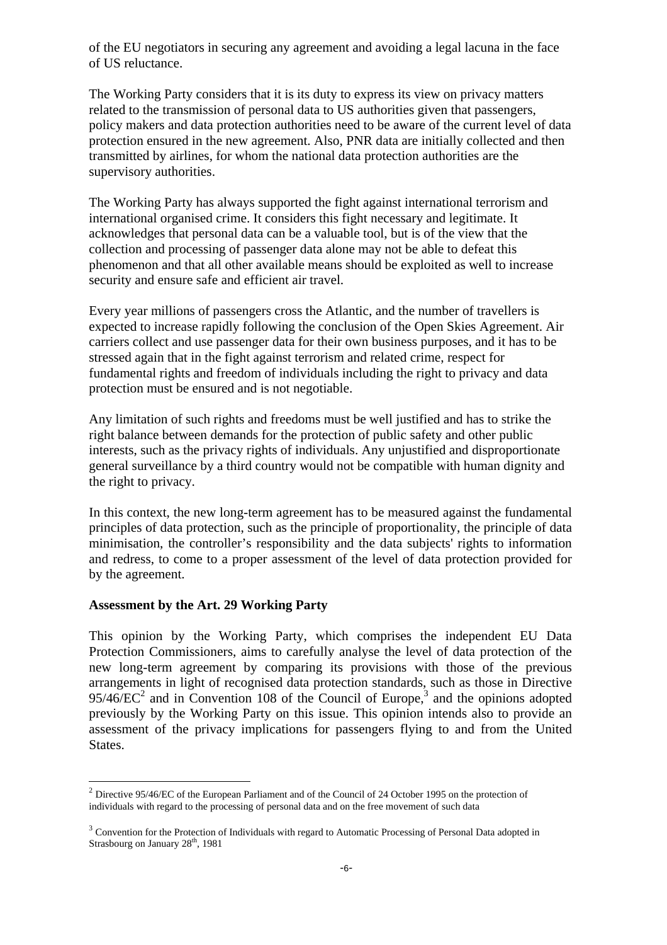of the EU negotiators in securing any agreement and avoiding a legal lacuna in the face of US reluctance.

The Working Party considers that it is its duty to express its view on privacy matters related to the transmission of personal data to US authorities given that passengers, policy makers and data protection authorities need to be aware of the current level of data protection ensured in the new agreement. Also, PNR data are initially collected and then transmitted by airlines, for whom the national data protection authorities are the supervisory authorities.

The Working Party has always supported the fight against international terrorism and international organised crime. It considers this fight necessary and legitimate. It acknowledges that personal data can be a valuable tool, but is of the view that the collection and processing of passenger data alone may not be able to defeat this phenomenon and that all other available means should be exploited as well to increase security and ensure safe and efficient air travel.

Every year millions of passengers cross the Atlantic, and the number of travellers is expected to increase rapidly following the conclusion of the Open Skies Agreement. Air carriers collect and use passenger data for their own business purposes, and it has to be stressed again that in the fight against terrorism and related crime, respect for fundamental rights and freedom of individuals including the right to privacy and data protection must be ensured and is not negotiable.

Any limitation of such rights and freedoms must be well justified and has to strike the right balance between demands for the protection of public safety and other public interests, such as the privacy rights of individuals. Any unjustified and disproportionate general surveillance by a third country would not be compatible with human dignity and the right to privacy.

In this context, the new long-term agreement has to be measured against the fundamental principles of data protection, such as the principle of proportionality, the principle of data minimisation, the controller's responsibility and the data subjects' rights to information and redress, to come to a proper assessment of the level of data protection provided for by the agreement.

#### **Assessment by the Art. 29 Working Party**

 $\overline{a}$ 

This opinion by the Working Party, which comprises the independent EU Data Protection Commissioners, aims to carefully analyse the level of data protection of the new long-term agreement by comparing its provisions with those of the previous arrangements in light of recognised data protection standards, such as those in Directive  $95/46/EC^2$  and in Convention 108 of the Council of Europe,<sup>3</sup> and the opinions adopted previously by the Working Party on this issue. This opinion intends also to provide an assessment of the privacy implications for passengers flying to and from the United States.

 $<sup>2</sup>$  Directive 95/46/EC of the European Parliament and of the Council of 24 October 1995 on the protection of</sup> individuals with regard to the processing of personal data and on the free movement of such data

<sup>&</sup>lt;sup>3</sup> Convention for the Protection of Individuals with regard to Automatic Processing of Personal Data adopted in Strasbourg on January 28<sup>th</sup>, 1981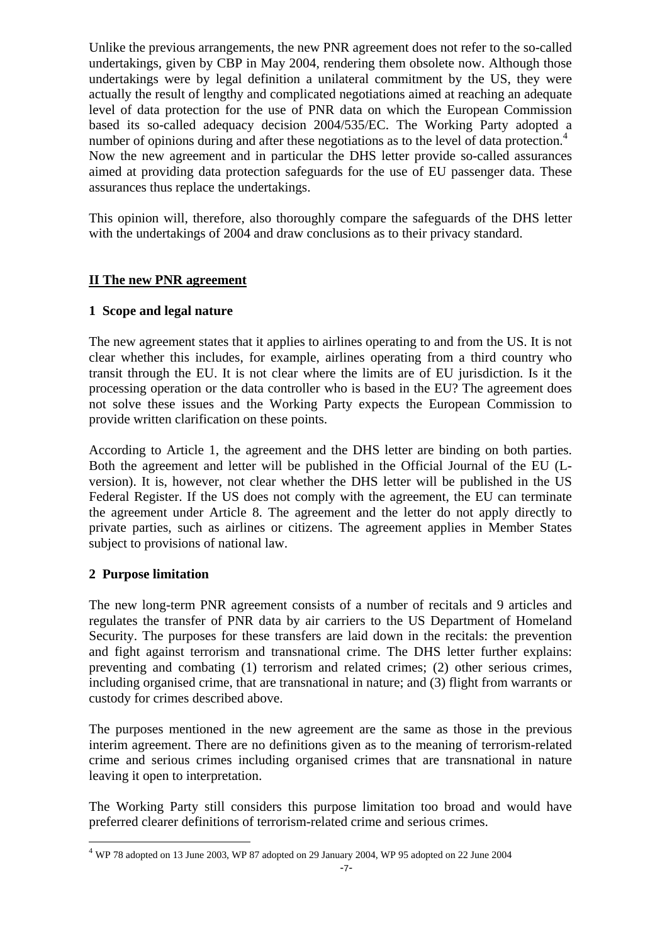Unlike the previous arrangements, the new PNR agreement does not refer to the so-called undertakings, given by CBP in May 2004, rendering them obsolete now. Although those undertakings were by legal definition a unilateral commitment by the US, they were actually the result of lengthy and complicated negotiations aimed at reaching an adequate level of data protection for the use of PNR data on which the European Commission based its so-called adequacy decision 2004/535/EC. The Working Party adopted a number of opinions during and after these negotiations as to the level of data protection.<sup>4</sup> Now the new agreement and in particular the DHS letter provide so-called assurances aimed at providing data protection safeguards for the use of EU passenger data. These assurances thus replace the undertakings.

This opinion will, therefore, also thoroughly compare the safeguards of the DHS letter with the undertakings of 2004 and draw conclusions as to their privacy standard.

## **II The new PNR agreement**

### **1 Scope and legal nature**

The new agreement states that it applies to airlines operating to and from the US. It is not clear whether this includes, for example, airlines operating from a third country who transit through the EU. It is not clear where the limits are of EU jurisdiction. Is it the processing operation or the data controller who is based in the EU? The agreement does not solve these issues and the Working Party expects the European Commission to provide written clarification on these points.

According to Article 1, the agreement and the DHS letter are binding on both parties. Both the agreement and letter will be published in the Official Journal of the EU (Lversion). It is, however, not clear whether the DHS letter will be published in the US Federal Register. If the US does not comply with the agreement, the EU can terminate the agreement under Article 8. The agreement and the letter do not apply directly to private parties, such as airlines or citizens. The agreement applies in Member States subject to provisions of national law.

### **2 Purpose limitation**

 $\overline{a}$ 

The new long-term PNR agreement consists of a number of recitals and 9 articles and regulates the transfer of PNR data by air carriers to the US Department of Homeland Security. The purposes for these transfers are laid down in the recitals: the prevention and fight against terrorism and transnational crime. The DHS letter further explains: preventing and combating (1) terrorism and related crimes; (2) other serious crimes, including organised crime, that are transnational in nature; and (3) flight from warrants or custody for crimes described above.

The purposes mentioned in the new agreement are the same as those in the previous interim agreement. There are no definitions given as to the meaning of terrorism-related crime and serious crimes including organised crimes that are transnational in nature leaving it open to interpretation.

The Working Party still considers this purpose limitation too broad and would have preferred clearer definitions of terrorism-related crime and serious crimes.

<sup>4</sup> WP 78 adopted on 13 June 2003, WP 87 adopted on 29 January 2004, WP 95 adopted on 22 June 2004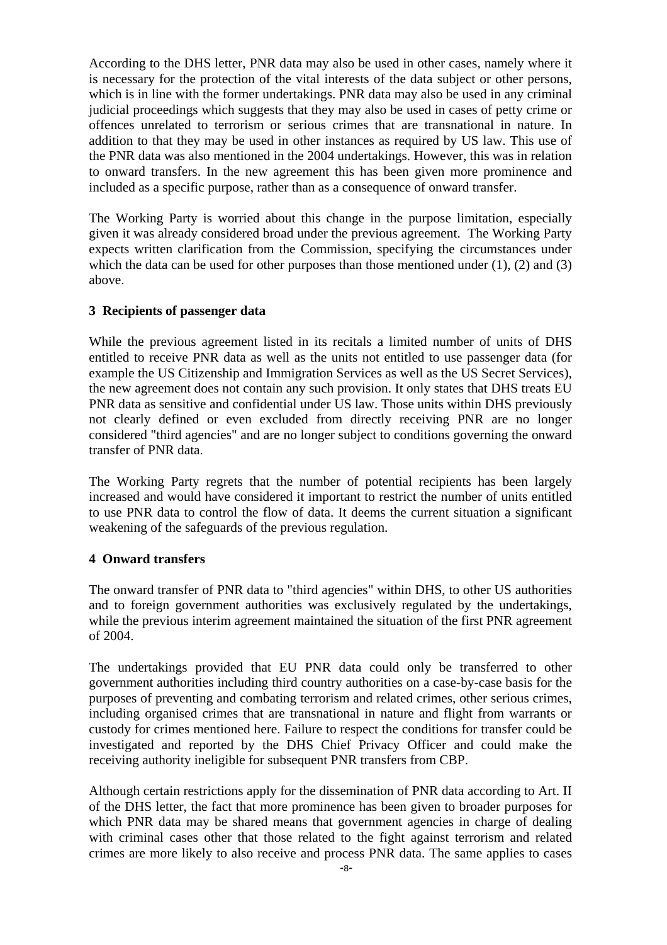According to the DHS letter, PNR data may also be used in other cases, namely where it is necessary for the protection of the vital interests of the data subject or other persons, which is in line with the former undertakings. PNR data may also be used in any criminal judicial proceedings which suggests that they may also be used in cases of petty crime or offences unrelated to terrorism or serious crimes that are transnational in nature. In addition to that they may be used in other instances as required by US law. This use of the PNR data was also mentioned in the 2004 undertakings. However, this was in relation to onward transfers. In the new agreement this has been given more prominence and included as a specific purpose, rather than as a consequence of onward transfer.

The Working Party is worried about this change in the purpose limitation, especially given it was already considered broad under the previous agreement. The Working Party expects written clarification from the Commission, specifying the circumstances under which the data can be used for other purposes than those mentioned under  $(1)$ ,  $(2)$  and  $(3)$ above.

### **3 Recipients of passenger data**

While the previous agreement listed in its recitals a limited number of units of DHS entitled to receive PNR data as well as the units not entitled to use passenger data (for example the US Citizenship and Immigration Services as well as the US Secret Services), the new agreement does not contain any such provision. It only states that DHS treats EU PNR data as sensitive and confidential under US law. Those units within DHS previously not clearly defined or even excluded from directly receiving PNR are no longer considered "third agencies" and are no longer subject to conditions governing the onward transfer of PNR data.

The Working Party regrets that the number of potential recipients has been largely increased and would have considered it important to restrict the number of units entitled to use PNR data to control the flow of data. It deems the current situation a significant weakening of the safeguards of the previous regulation.

#### **4 Onward transfers**

The onward transfer of PNR data to "third agencies" within DHS, to other US authorities and to foreign government authorities was exclusively regulated by the undertakings, while the previous interim agreement maintained the situation of the first PNR agreement of 2004.

The undertakings provided that EU PNR data could only be transferred to other government authorities including third country authorities on a case-by-case basis for the purposes of preventing and combating terrorism and related crimes, other serious crimes, including organised crimes that are transnational in nature and flight from warrants or custody for crimes mentioned here. Failure to respect the conditions for transfer could be investigated and reported by the DHS Chief Privacy Officer and could make the receiving authority ineligible for subsequent PNR transfers from CBP.

Although certain restrictions apply for the dissemination of PNR data according to Art. II of the DHS letter, the fact that more prominence has been given to broader purposes for which PNR data may be shared means that government agencies in charge of dealing with criminal cases other that those related to the fight against terrorism and related crimes are more likely to also receive and process PNR data. The same applies to cases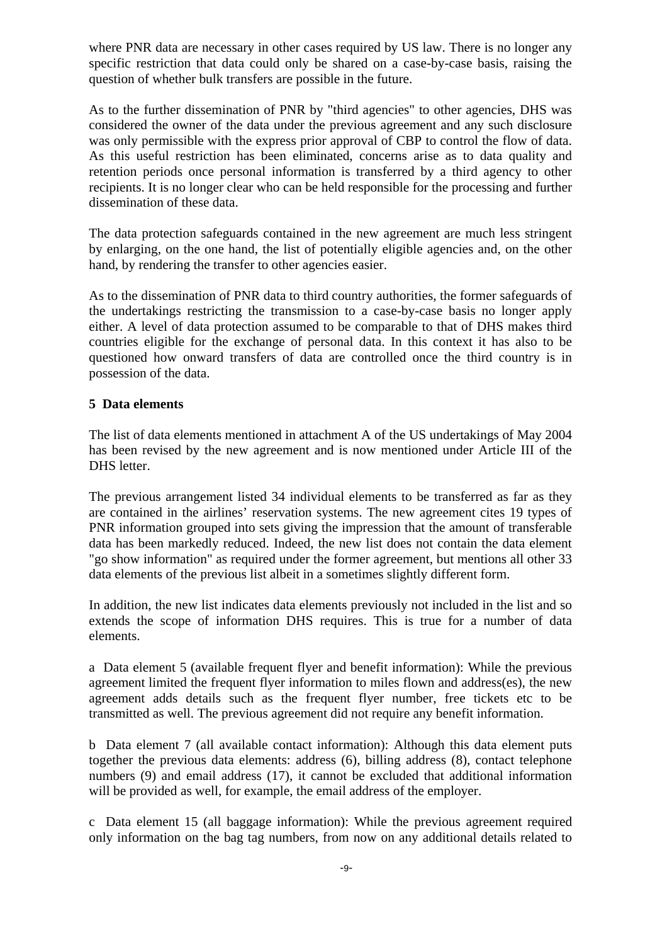where PNR data are necessary in other cases required by US law. There is no longer any specific restriction that data could only be shared on a case-by-case basis, raising the question of whether bulk transfers are possible in the future.

As to the further dissemination of PNR by "third agencies" to other agencies, DHS was considered the owner of the data under the previous agreement and any such disclosure was only permissible with the express prior approval of CBP to control the flow of data. As this useful restriction has been eliminated, concerns arise as to data quality and retention periods once personal information is transferred by a third agency to other recipients. It is no longer clear who can be held responsible for the processing and further dissemination of these data.

The data protection safeguards contained in the new agreement are much less stringent by enlarging, on the one hand, the list of potentially eligible agencies and, on the other hand, by rendering the transfer to other agencies easier.

As to the dissemination of PNR data to third country authorities, the former safeguards of the undertakings restricting the transmission to a case-by-case basis no longer apply either. A level of data protection assumed to be comparable to that of DHS makes third countries eligible for the exchange of personal data. In this context it has also to be questioned how onward transfers of data are controlled once the third country is in possession of the data.

### **5 Data elements**

The list of data elements mentioned in attachment A of the US undertakings of May 2004 has been revised by the new agreement and is now mentioned under Article III of the DHS letter.

The previous arrangement listed 34 individual elements to be transferred as far as they are contained in the airlines' reservation systems. The new agreement cites 19 types of PNR information grouped into sets giving the impression that the amount of transferable data has been markedly reduced. Indeed, the new list does not contain the data element "go show information" as required under the former agreement, but mentions all other 33 data elements of the previous list albeit in a sometimes slightly different form.

In addition, the new list indicates data elements previously not included in the list and so extends the scope of information DHS requires. This is true for a number of data elements.

a Data element 5 (available frequent flyer and benefit information): While the previous agreement limited the frequent flyer information to miles flown and address(es), the new agreement adds details such as the frequent flyer number, free tickets etc to be transmitted as well. The previous agreement did not require any benefit information.

b Data element 7 (all available contact information): Although this data element puts together the previous data elements: address (6), billing address (8), contact telephone numbers (9) and email address (17), it cannot be excluded that additional information will be provided as well, for example, the email address of the employer.

c Data element 15 (all baggage information): While the previous agreement required only information on the bag tag numbers, from now on any additional details related to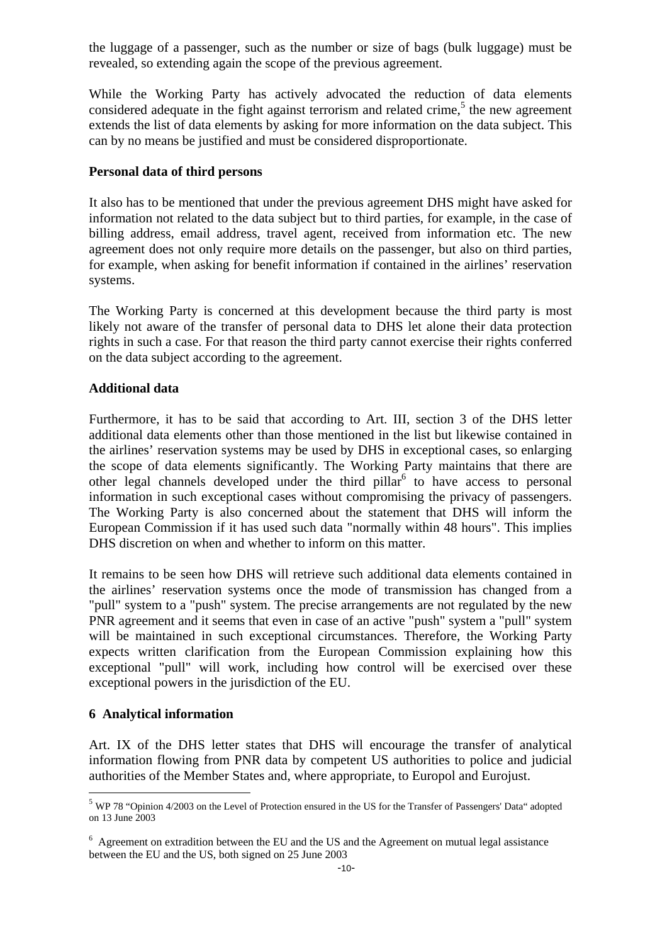the luggage of a passenger, such as the number or size of bags (bulk luggage) must be revealed, so extending again the scope of the previous agreement.

While the Working Party has actively advocated the reduction of data elements considered adequate in the fight against terrorism and related crime, $<sup>5</sup>$  the new agreement</sup> extends the list of data elements by asking for more information on the data subject. This can by no means be justified and must be considered disproportionate.

### **Personal data of third persons**

It also has to be mentioned that under the previous agreement DHS might have asked for information not related to the data subject but to third parties, for example, in the case of billing address, email address, travel agent, received from information etc. The new agreement does not only require more details on the passenger, but also on third parties, for example, when asking for benefit information if contained in the airlines' reservation systems.

The Working Party is concerned at this development because the third party is most likely not aware of the transfer of personal data to DHS let alone their data protection rights in such a case. For that reason the third party cannot exercise their rights conferred on the data subject according to the agreement.

#### **Additional data**

Furthermore, it has to be said that according to Art. III, section 3 of the DHS letter additional data elements other than those mentioned in the list but likewise contained in the airlines' reservation systems may be used by DHS in exceptional cases, so enlarging the scope of data elements significantly. The Working Party maintains that there are other legal channels developed under the third pillar<sup>6</sup> to have access to personal information in such exceptional cases without compromising the privacy of passengers. The Working Party is also concerned about the statement that DHS will inform the European Commission if it has used such data "normally within 48 hours". This implies DHS discretion on when and whether to inform on this matter.

It remains to be seen how DHS will retrieve such additional data elements contained in the airlines' reservation systems once the mode of transmission has changed from a "pull" system to a "push" system. The precise arrangements are not regulated by the new PNR agreement and it seems that even in case of an active "push" system a "pull" system will be maintained in such exceptional circumstances. Therefore, the Working Party expects written clarification from the European Commission explaining how this exceptional "pull" will work, including how control will be exercised over these exceptional powers in the jurisdiction of the EU.

#### **6 Analytical information**

 $\overline{a}$ 

Art. IX of the DHS letter states that DHS will encourage the transfer of analytical information flowing from PNR data by competent US authorities to police and judicial authorities of the Member States and, where appropriate, to Europol and Eurojust.

<sup>5</sup> WP 78 "Opinion 4/2003 on the Level of Protection ensured in the US for the Transfer of Passengers' Data" adopted on 13 June 2003

<sup>&</sup>lt;sup>6</sup> Agreement on extradition between the EU and the US and the Agreement on mutual legal assistance between the EU and the US, both signed on 25 June 2003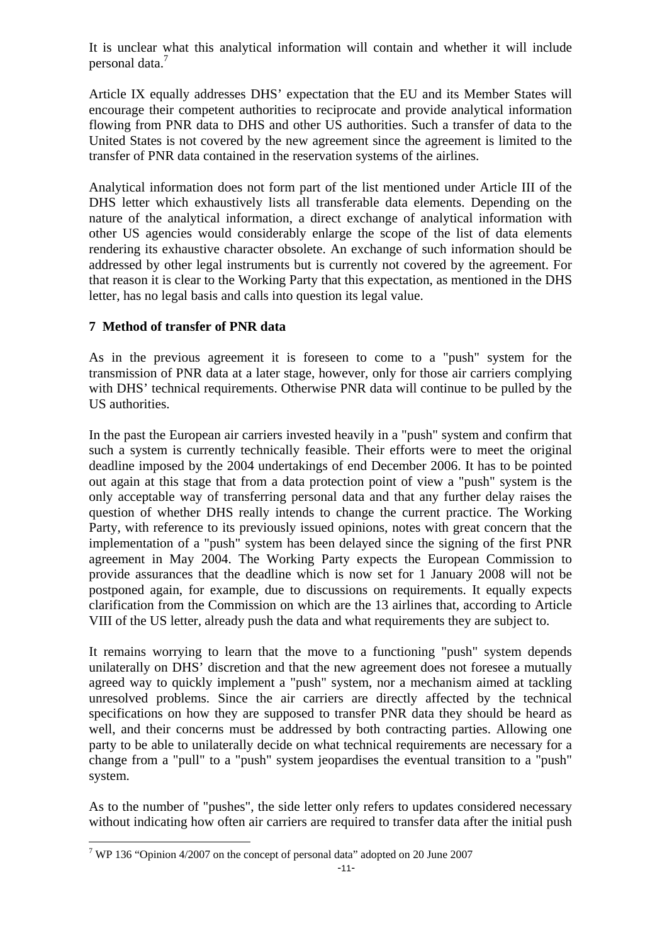It is unclear what this analytical information will contain and whether it will include personal data.<sup>7</sup>

Article IX equally addresses DHS' expectation that the EU and its Member States will encourage their competent authorities to reciprocate and provide analytical information flowing from PNR data to DHS and other US authorities. Such a transfer of data to the United States is not covered by the new agreement since the agreement is limited to the transfer of PNR data contained in the reservation systems of the airlines.

Analytical information does not form part of the list mentioned under Article III of the DHS letter which exhaustively lists all transferable data elements. Depending on the nature of the analytical information, a direct exchange of analytical information with other US agencies would considerably enlarge the scope of the list of data elements rendering its exhaustive character obsolete. An exchange of such information should be addressed by other legal instruments but is currently not covered by the agreement. For that reason it is clear to the Working Party that this expectation, as mentioned in the DHS letter, has no legal basis and calls into question its legal value.

# **7 Method of transfer of PNR data**

As in the previous agreement it is foreseen to come to a "push" system for the transmission of PNR data at a later stage, however, only for those air carriers complying with DHS' technical requirements. Otherwise PNR data will continue to be pulled by the US authorities.

In the past the European air carriers invested heavily in a "push" system and confirm that such a system is currently technically feasible. Their efforts were to meet the original deadline imposed by the 2004 undertakings of end December 2006. It has to be pointed out again at this stage that from a data protection point of view a "push" system is the only acceptable way of transferring personal data and that any further delay raises the question of whether DHS really intends to change the current practice. The Working Party, with reference to its previously issued opinions, notes with great concern that the implementation of a "push" system has been delayed since the signing of the first PNR agreement in May 2004. The Working Party expects the European Commission to provide assurances that the deadline which is now set for 1 January 2008 will not be postponed again, for example, due to discussions on requirements. It equally expects clarification from the Commission on which are the 13 airlines that, according to Article VIII of the US letter, already push the data and what requirements they are subject to.

It remains worrying to learn that the move to a functioning "push" system depends unilaterally on DHS' discretion and that the new agreement does not foresee a mutually agreed way to quickly implement a "push" system, nor a mechanism aimed at tackling unresolved problems. Since the air carriers are directly affected by the technical specifications on how they are supposed to transfer PNR data they should be heard as well, and their concerns must be addressed by both contracting parties. Allowing one party to be able to unilaterally decide on what technical requirements are necessary for a change from a "pull" to a "push" system jeopardises the eventual transition to a "push" system.

As to the number of "pushes", the side letter only refers to updates considered necessary without indicating how often air carriers are required to transfer data after the initial push

 $\overline{a}$ <sup>7</sup> WP 136 "Opinion 4/2007 on the concept of personal data" adopted on 20 June 2007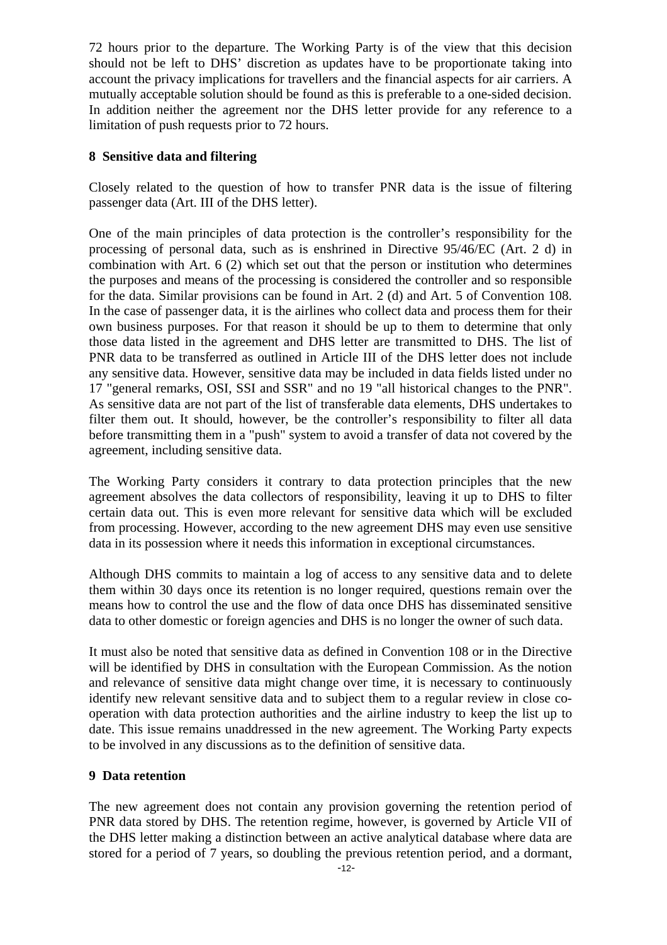72 hours prior to the departure. The Working Party is of the view that this decision should not be left to DHS' discretion as updates have to be proportionate taking into account the privacy implications for travellers and the financial aspects for air carriers. A mutually acceptable solution should be found as this is preferable to a one-sided decision. In addition neither the agreement nor the DHS letter provide for any reference to a limitation of push requests prior to 72 hours.

## **8 Sensitive data and filtering**

Closely related to the question of how to transfer PNR data is the issue of filtering passenger data (Art. III of the DHS letter).

One of the main principles of data protection is the controller's responsibility for the processing of personal data, such as is enshrined in Directive 95/46/EC (Art. 2 d) in combination with Art. 6 (2) which set out that the person or institution who determines the purposes and means of the processing is considered the controller and so responsible for the data. Similar provisions can be found in Art. 2 (d) and Art. 5 of Convention 108. In the case of passenger data, it is the airlines who collect data and process them for their own business purposes. For that reason it should be up to them to determine that only those data listed in the agreement and DHS letter are transmitted to DHS. The list of PNR data to be transferred as outlined in Article III of the DHS letter does not include any sensitive data. However, sensitive data may be included in data fields listed under no 17 "general remarks, OSI, SSI and SSR" and no 19 "all historical changes to the PNR". As sensitive data are not part of the list of transferable data elements, DHS undertakes to filter them out. It should, however, be the controller's responsibility to filter all data before transmitting them in a "push" system to avoid a transfer of data not covered by the agreement, including sensitive data.

The Working Party considers it contrary to data protection principles that the new agreement absolves the data collectors of responsibility, leaving it up to DHS to filter certain data out. This is even more relevant for sensitive data which will be excluded from processing. However, according to the new agreement DHS may even use sensitive data in its possession where it needs this information in exceptional circumstances.

Although DHS commits to maintain a log of access to any sensitive data and to delete them within 30 days once its retention is no longer required, questions remain over the means how to control the use and the flow of data once DHS has disseminated sensitive data to other domestic or foreign agencies and DHS is no longer the owner of such data.

It must also be noted that sensitive data as defined in Convention 108 or in the Directive will be identified by DHS in consultation with the European Commission. As the notion and relevance of sensitive data might change over time, it is necessary to continuously identify new relevant sensitive data and to subject them to a regular review in close cooperation with data protection authorities and the airline industry to keep the list up to date. This issue remains unaddressed in the new agreement. The Working Party expects to be involved in any discussions as to the definition of sensitive data.

### **9 Data retention**

The new agreement does not contain any provision governing the retention period of PNR data stored by DHS. The retention regime, however, is governed by Article VII of the DHS letter making a distinction between an active analytical database where data are stored for a period of 7 years, so doubling the previous retention period, and a dormant,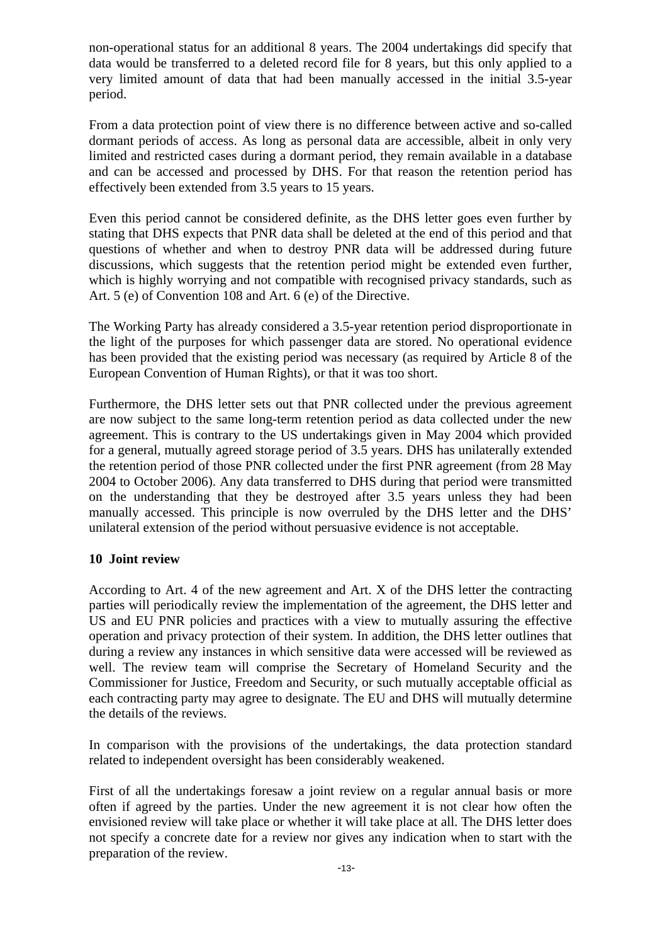non-operational status for an additional 8 years. The 2004 undertakings did specify that data would be transferred to a deleted record file for 8 years, but this only applied to a very limited amount of data that had been manually accessed in the initial 3.5-year period.

From a data protection point of view there is no difference between active and so-called dormant periods of access. As long as personal data are accessible, albeit in only very limited and restricted cases during a dormant period, they remain available in a database and can be accessed and processed by DHS. For that reason the retention period has effectively been extended from 3.5 years to 15 years.

Even this period cannot be considered definite, as the DHS letter goes even further by stating that DHS expects that PNR data shall be deleted at the end of this period and that questions of whether and when to destroy PNR data will be addressed during future discussions, which suggests that the retention period might be extended even further, which is highly worrying and not compatible with recognised privacy standards, such as Art. 5 (e) of Convention 108 and Art. 6 (e) of the Directive.

The Working Party has already considered a 3.5-year retention period disproportionate in the light of the purposes for which passenger data are stored. No operational evidence has been provided that the existing period was necessary (as required by Article 8 of the European Convention of Human Rights), or that it was too short.

Furthermore, the DHS letter sets out that PNR collected under the previous agreement are now subject to the same long-term retention period as data collected under the new agreement. This is contrary to the US undertakings given in May 2004 which provided for a general, mutually agreed storage period of 3.5 years. DHS has unilaterally extended the retention period of those PNR collected under the first PNR agreement (from 28 May 2004 to October 2006). Any data transferred to DHS during that period were transmitted on the understanding that they be destroyed after 3.5 years unless they had been manually accessed. This principle is now overruled by the DHS letter and the DHS' unilateral extension of the period without persuasive evidence is not acceptable.

### **10 Joint review**

According to Art. 4 of the new agreement and Art. X of the DHS letter the contracting parties will periodically review the implementation of the agreement, the DHS letter and US and EU PNR policies and practices with a view to mutually assuring the effective operation and privacy protection of their system. In addition, the DHS letter outlines that during a review any instances in which sensitive data were accessed will be reviewed as well. The review team will comprise the Secretary of Homeland Security and the Commissioner for Justice, Freedom and Security, or such mutually acceptable official as each contracting party may agree to designate. The EU and DHS will mutually determine the details of the reviews.

In comparison with the provisions of the undertakings, the data protection standard related to independent oversight has been considerably weakened.

First of all the undertakings foresaw a joint review on a regular annual basis or more often if agreed by the parties. Under the new agreement it is not clear how often the envisioned review will take place or whether it will take place at all. The DHS letter does not specify a concrete date for a review nor gives any indication when to start with the preparation of the review.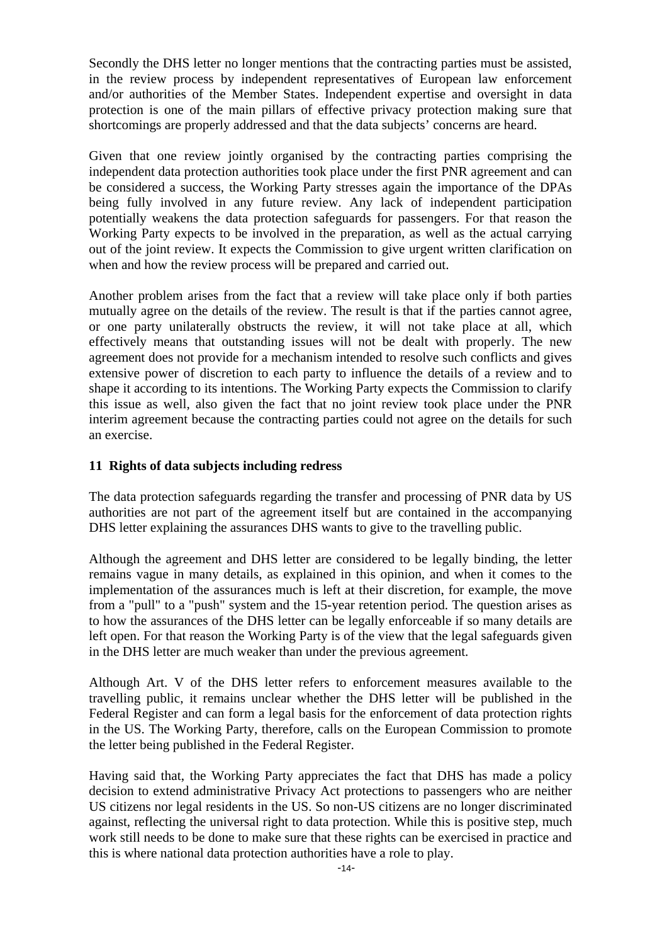Secondly the DHS letter no longer mentions that the contracting parties must be assisted, in the review process by independent representatives of European law enforcement and/or authorities of the Member States. Independent expertise and oversight in data protection is one of the main pillars of effective privacy protection making sure that shortcomings are properly addressed and that the data subjects' concerns are heard.

Given that one review jointly organised by the contracting parties comprising the independent data protection authorities took place under the first PNR agreement and can be considered a success, the Working Party stresses again the importance of the DPAs being fully involved in any future review. Any lack of independent participation potentially weakens the data protection safeguards for passengers. For that reason the Working Party expects to be involved in the preparation, as well as the actual carrying out of the joint review. It expects the Commission to give urgent written clarification on when and how the review process will be prepared and carried out.

Another problem arises from the fact that a review will take place only if both parties mutually agree on the details of the review. The result is that if the parties cannot agree, or one party unilaterally obstructs the review, it will not take place at all, which effectively means that outstanding issues will not be dealt with properly. The new agreement does not provide for a mechanism intended to resolve such conflicts and gives extensive power of discretion to each party to influence the details of a review and to shape it according to its intentions. The Working Party expects the Commission to clarify this issue as well, also given the fact that no joint review took place under the PNR interim agreement because the contracting parties could not agree on the details for such an exercise.

### **11 Rights of data subjects including redress**

The data protection safeguards regarding the transfer and processing of PNR data by US authorities are not part of the agreement itself but are contained in the accompanying DHS letter explaining the assurances DHS wants to give to the travelling public.

Although the agreement and DHS letter are considered to be legally binding, the letter remains vague in many details, as explained in this opinion, and when it comes to the implementation of the assurances much is left at their discretion, for example, the move from a "pull" to a "push" system and the 15-year retention period. The question arises as to how the assurances of the DHS letter can be legally enforceable if so many details are left open. For that reason the Working Party is of the view that the legal safeguards given in the DHS letter are much weaker than under the previous agreement.

Although Art. V of the DHS letter refers to enforcement measures available to the travelling public, it remains unclear whether the DHS letter will be published in the Federal Register and can form a legal basis for the enforcement of data protection rights in the US. The Working Party, therefore, calls on the European Commission to promote the letter being published in the Federal Register.

Having said that, the Working Party appreciates the fact that DHS has made a policy decision to extend administrative Privacy Act protections to passengers who are neither US citizens nor legal residents in the US. So non-US citizens are no longer discriminated against, reflecting the universal right to data protection. While this is positive step, much work still needs to be done to make sure that these rights can be exercised in practice and this is where national data protection authorities have a role to play.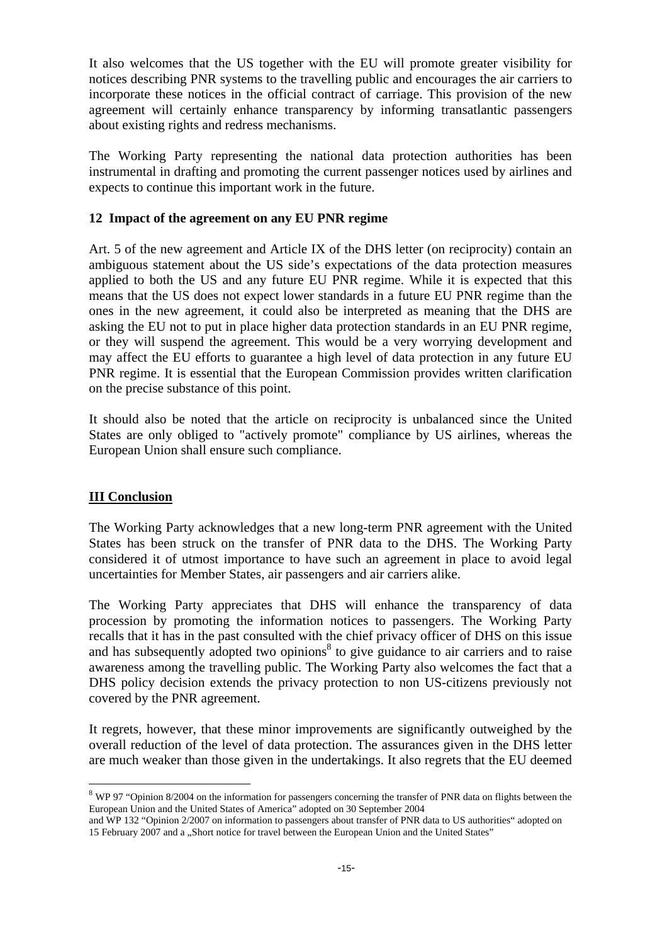It also welcomes that the US together with the EU will promote greater visibility for notices describing PNR systems to the travelling public and encourages the air carriers to incorporate these notices in the official contract of carriage. This provision of the new agreement will certainly enhance transparency by informing transatlantic passengers about existing rights and redress mechanisms.

The Working Party representing the national data protection authorities has been instrumental in drafting and promoting the current passenger notices used by airlines and expects to continue this important work in the future.

### **12 Impact of the agreement on any EU PNR regime**

Art. 5 of the new agreement and Article IX of the DHS letter (on reciprocity) contain an ambiguous statement about the US side's expectations of the data protection measures applied to both the US and any future EU PNR regime. While it is expected that this means that the US does not expect lower standards in a future EU PNR regime than the ones in the new agreement, it could also be interpreted as meaning that the DHS are asking the EU not to put in place higher data protection standards in an EU PNR regime, or they will suspend the agreement. This would be a very worrying development and may affect the EU efforts to guarantee a high level of data protection in any future EU PNR regime. It is essential that the European Commission provides written clarification on the precise substance of this point.

It should also be noted that the article on reciprocity is unbalanced since the United States are only obliged to "actively promote" compliance by US airlines, whereas the European Union shall ensure such compliance.

# **III Conclusion**

 $\overline{a}$ 

The Working Party acknowledges that a new long-term PNR agreement with the United States has been struck on the transfer of PNR data to the DHS. The Working Party considered it of utmost importance to have such an agreement in place to avoid legal uncertainties for Member States, air passengers and air carriers alike.

The Working Party appreciates that DHS will enhance the transparency of data procession by promoting the information notices to passengers. The Working Party recalls that it has in the past consulted with the chief privacy officer of DHS on this issue and has subsequently adopted two opinions<sup>8</sup> to give guidance to air carriers and to raise awareness among the travelling public. The Working Party also welcomes the fact that a DHS policy decision extends the privacy protection to non US-citizens previously not covered by the PNR agreement.

It regrets, however, that these minor improvements are significantly outweighed by the overall reduction of the level of data protection. The assurances given in the DHS letter are much weaker than those given in the undertakings. It also regrets that the EU deemed

<sup>&</sup>lt;sup>8</sup> WP 97 "Opinion 8/2004 on the information for passengers concerning the transfer of PNR data on flights between the European Union and the United States of America" adopted on 30 September 2004

and WP 132 "Opinion 2/2007 on information to passengers about transfer of PNR data to US authorities" adopted on 15 February 2007 and a "Short notice for travel between the European Union and the United States"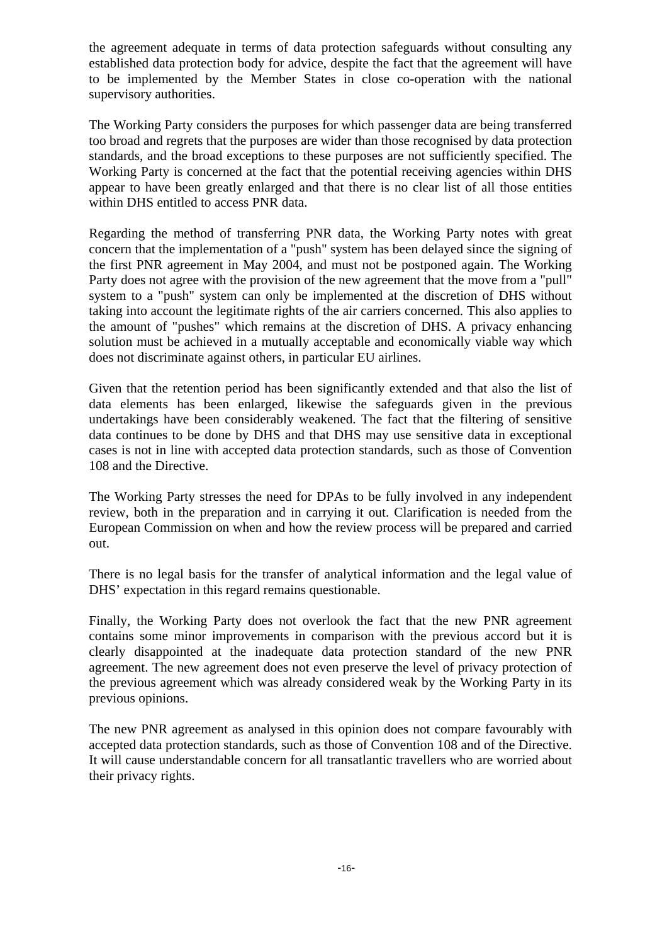the agreement adequate in terms of data protection safeguards without consulting any established data protection body for advice, despite the fact that the agreement will have to be implemented by the Member States in close co-operation with the national supervisory authorities.

The Working Party considers the purposes for which passenger data are being transferred too broad and regrets that the purposes are wider than those recognised by data protection standards, and the broad exceptions to these purposes are not sufficiently specified. The Working Party is concerned at the fact that the potential receiving agencies within DHS appear to have been greatly enlarged and that there is no clear list of all those entities within DHS entitled to access PNR data.

Regarding the method of transferring PNR data, the Working Party notes with great concern that the implementation of a "push" system has been delayed since the signing of the first PNR agreement in May 2004, and must not be postponed again. The Working Party does not agree with the provision of the new agreement that the move from a "pull" system to a "push" system can only be implemented at the discretion of DHS without taking into account the legitimate rights of the air carriers concerned. This also applies to the amount of "pushes" which remains at the discretion of DHS. A privacy enhancing solution must be achieved in a mutually acceptable and economically viable way which does not discriminate against others, in particular EU airlines.

Given that the retention period has been significantly extended and that also the list of data elements has been enlarged, likewise the safeguards given in the previous undertakings have been considerably weakened. The fact that the filtering of sensitive data continues to be done by DHS and that DHS may use sensitive data in exceptional cases is not in line with accepted data protection standards, such as those of Convention 108 and the Directive.

The Working Party stresses the need for DPAs to be fully involved in any independent review, both in the preparation and in carrying it out. Clarification is needed from the European Commission on when and how the review process will be prepared and carried out.

There is no legal basis for the transfer of analytical information and the legal value of DHS' expectation in this regard remains questionable.

Finally, the Working Party does not overlook the fact that the new PNR agreement contains some minor improvements in comparison with the previous accord but it is clearly disappointed at the inadequate data protection standard of the new PNR agreement. The new agreement does not even preserve the level of privacy protection of the previous agreement which was already considered weak by the Working Party in its previous opinions.

The new PNR agreement as analysed in this opinion does not compare favourably with accepted data protection standards, such as those of Convention 108 and of the Directive. It will cause understandable concern for all transatlantic travellers who are worried about their privacy rights.